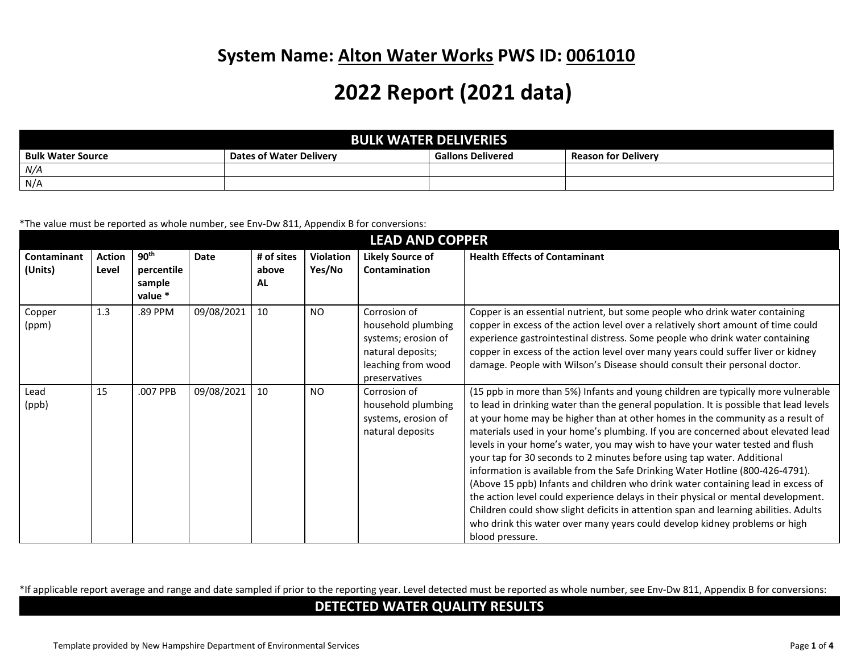## **System Name: Alton Water Works PWS ID: 0061010**

## **2022 Report (2021 data)**

|                          |                                | <b>BULK WATER DELIVERIES</b> |                            |
|--------------------------|--------------------------------|------------------------------|----------------------------|
| <b>Bulk Water Source</b> | <b>Dates of Water Delivery</b> | <b>Gallons Delivered</b>     | <b>Reason for Delivery</b> |
| N/A                      |                                |                              |                            |
| N/A                      |                                |                              |                            |

\*The value must be reported as whole number, see Env-Dw 811, Appendix B for conversions:

| <b>LEAD AND COPPER</b>        |                        |                                                     |             |                           |                            |                                                                                                                       |                                                                                                                                                                                                                                                                                                                                                                                                                                                                                                                                                                                                                                                                                                                                                                                                                                                                                                                                                                  |  |
|-------------------------------|------------------------|-----------------------------------------------------|-------------|---------------------------|----------------------------|-----------------------------------------------------------------------------------------------------------------------|------------------------------------------------------------------------------------------------------------------------------------------------------------------------------------------------------------------------------------------------------------------------------------------------------------------------------------------------------------------------------------------------------------------------------------------------------------------------------------------------------------------------------------------------------------------------------------------------------------------------------------------------------------------------------------------------------------------------------------------------------------------------------------------------------------------------------------------------------------------------------------------------------------------------------------------------------------------|--|
| <b>Contaminant</b><br>(Units) | <b>Action</b><br>Level | 90 <sup>th</sup><br>percentile<br>sample<br>value * | <b>Date</b> | # of sites<br>above<br>AL | <b>Violation</b><br>Yes/No | <b>Likely Source of</b><br>Contamination                                                                              | <b>Health Effects of Contaminant</b>                                                                                                                                                                                                                                                                                                                                                                                                                                                                                                                                                                                                                                                                                                                                                                                                                                                                                                                             |  |
| Copper<br>(ppm)               | 1.3                    | .89 PPM                                             | 09/08/2021  | 10                        | <b>NO</b>                  | Corrosion of<br>household plumbing<br>systems; erosion of<br>natural deposits;<br>leaching from wood<br>preservatives | Copper is an essential nutrient, but some people who drink water containing<br>copper in excess of the action level over a relatively short amount of time could<br>experience gastrointestinal distress. Some people who drink water containing<br>copper in excess of the action level over many years could suffer liver or kidney<br>damage. People with Wilson's Disease should consult their personal doctor.                                                                                                                                                                                                                                                                                                                                                                                                                                                                                                                                              |  |
| Lead<br>(ppb)                 | 15                     | .007 PPB                                            | 09/08/2021  | 10                        | N <sub>O</sub>             | Corrosion of<br>household plumbing<br>systems, erosion of<br>natural deposits                                         | (15 ppb in more than 5%) Infants and young children are typically more vulnerable<br>to lead in drinking water than the general population. It is possible that lead levels<br>at your home may be higher than at other homes in the community as a result of<br>materials used in your home's plumbing. If you are concerned about elevated lead<br>levels in your home's water, you may wish to have your water tested and flush<br>your tap for 30 seconds to 2 minutes before using tap water. Additional<br>information is available from the Safe Drinking Water Hotline (800-426-4791).<br>(Above 15 ppb) Infants and children who drink water containing lead in excess of<br>the action level could experience delays in their physical or mental development.<br>Children could show slight deficits in attention span and learning abilities. Adults<br>who drink this water over many years could develop kidney problems or high<br>blood pressure. |  |

\*If applicable report average and range and date sampled if prior to the reporting year. Level detected must be reported as whole number, see Env-Dw 811, Appendix B for conversions:

## **DETECTED WATER QUALITY RESULTS**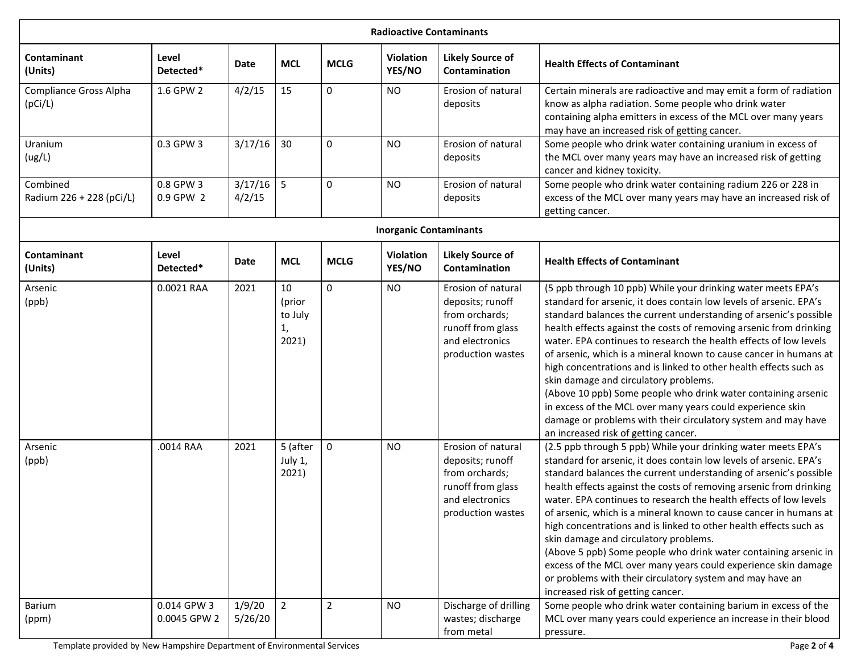| <b>Radioactive Contaminants</b>      |                             |                       |                                        |                |                               |                                                                                                                       |                                                                                                                                                                                                                                                                                                                                                                                                                                                                                                                                                                                                                                                                                                                                                                               |  |
|--------------------------------------|-----------------------------|-----------------------|----------------------------------------|----------------|-------------------------------|-----------------------------------------------------------------------------------------------------------------------|-------------------------------------------------------------------------------------------------------------------------------------------------------------------------------------------------------------------------------------------------------------------------------------------------------------------------------------------------------------------------------------------------------------------------------------------------------------------------------------------------------------------------------------------------------------------------------------------------------------------------------------------------------------------------------------------------------------------------------------------------------------------------------|--|
| Contaminant<br>(Units)               | Level<br>Detected*          | Date                  | <b>MCL</b>                             | <b>MCLG</b>    | <b>Violation</b><br>YES/NO    | <b>Likely Source of</b><br>Contamination                                                                              | <b>Health Effects of Contaminant</b>                                                                                                                                                                                                                                                                                                                                                                                                                                                                                                                                                                                                                                                                                                                                          |  |
| Compliance Gross Alpha<br>(pCi/L)    | 1.6 GPW 2                   | 4/2/15                | 15                                     | 0              | <b>NO</b>                     | Erosion of natural<br>deposits                                                                                        | Certain minerals are radioactive and may emit a form of radiation<br>know as alpha radiation. Some people who drink water<br>containing alpha emitters in excess of the MCL over many years<br>may have an increased risk of getting cancer.                                                                                                                                                                                                                                                                                                                                                                                                                                                                                                                                  |  |
| Uranium<br>(ug/L)                    | 0.3 GPW 3                   | 3/17/16               | 30                                     | 0              | <b>NO</b>                     | Erosion of natural<br>deposits                                                                                        | Some people who drink water containing uranium in excess of<br>the MCL over many years may have an increased risk of getting<br>cancer and kidney toxicity.                                                                                                                                                                                                                                                                                                                                                                                                                                                                                                                                                                                                                   |  |
| Combined<br>Radium 226 + 228 (pCi/L) | 0.8 GPW 3<br>0.9 GPW 2      | $3/17/16$ 5<br>4/2/15 |                                        | 0              | <b>NO</b>                     | Erosion of natural<br>deposits                                                                                        | Some people who drink water containing radium 226 or 228 in<br>excess of the MCL over many years may have an increased risk of<br>getting cancer.                                                                                                                                                                                                                                                                                                                                                                                                                                                                                                                                                                                                                             |  |
|                                      |                             |                       |                                        |                | <b>Inorganic Contaminants</b> |                                                                                                                       |                                                                                                                                                                                                                                                                                                                                                                                                                                                                                                                                                                                                                                                                                                                                                                               |  |
| Contaminant<br>(Units)               | Level<br>Detected*          | Date                  | <b>MCL</b>                             | <b>MCLG</b>    | <b>Violation</b><br>YES/NO    | <b>Likely Source of</b><br>Contamination                                                                              | <b>Health Effects of Contaminant</b>                                                                                                                                                                                                                                                                                                                                                                                                                                                                                                                                                                                                                                                                                                                                          |  |
| Arsenic<br>(ppb)                     | 0.0021 RAA                  | 2021                  | 10<br>(prior<br>to July<br>1,<br>2021) | $\Omega$       | <b>NO</b>                     | Erosion of natural<br>deposits; runoff<br>from orchards;<br>runoff from glass<br>and electronics<br>production wastes | (5 ppb through 10 ppb) While your drinking water meets EPA's<br>standard for arsenic, it does contain low levels of arsenic. EPA's<br>standard balances the current understanding of arsenic's possible<br>health effects against the costs of removing arsenic from drinking<br>water. EPA continues to research the health effects of low levels<br>of arsenic, which is a mineral known to cause cancer in humans at<br>high concentrations and is linked to other health effects such as<br>skin damage and circulatory problems.<br>(Above 10 ppb) Some people who drink water containing arsenic<br>in excess of the MCL over many years could experience skin<br>damage or problems with their circulatory system and may have<br>an increased risk of getting cancer. |  |
| Arsenic<br>(ppb)                     | .0014 RAA                   | 2021                  | 5 (after<br>July 1,<br>2021)           | $\mathsf 0$    | <b>NO</b>                     | Erosion of natural<br>deposits; runoff<br>from orchards;<br>runoff from glass<br>and electronics<br>production wastes | (2.5 ppb through 5 ppb) While your drinking water meets EPA's<br>standard for arsenic, it does contain low levels of arsenic. EPA's<br>standard balances the current understanding of arsenic's possible<br>health effects against the costs of removing arsenic from drinking<br>water. EPA continues to research the health effects of low levels<br>of arsenic, which is a mineral known to cause cancer in humans at<br>high concentrations and is linked to other health effects such as<br>skin damage and circulatory problems.<br>(Above 5 ppb) Some people who drink water containing arsenic in<br>excess of the MCL over many years could experience skin damage<br>or problems with their circulatory system and may have an<br>increased risk of getting cancer. |  |
| Barium<br>(ppm)                      | 0.014 GPW 3<br>0.0045 GPW 2 | 1/9/20<br>5/26/20     | $\overline{2}$                         | $\overline{2}$ | <b>NO</b>                     | Discharge of drilling<br>wastes; discharge<br>from metal                                                              | Some people who drink water containing barium in excess of the<br>MCL over many years could experience an increase in their blood<br>pressure.                                                                                                                                                                                                                                                                                                                                                                                                                                                                                                                                                                                                                                |  |

Template provided by New Hampshire Department of Environmental Services Page **2** of **4**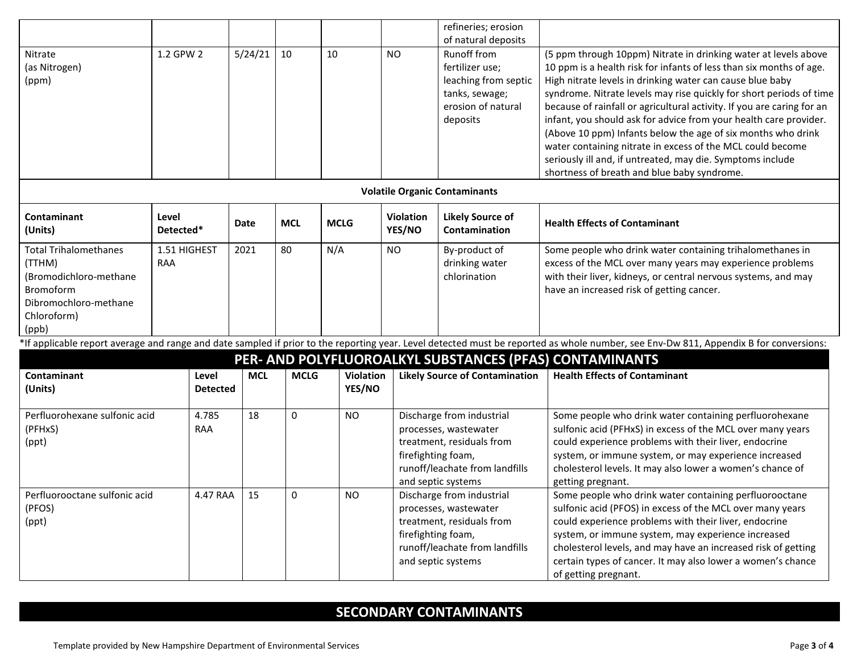|                               |                                                                                                                                                                                                                                                  |                 |            |             |                  |                    | refineries; erosion                   |                                                                                                                                               |  |  |
|-------------------------------|--------------------------------------------------------------------------------------------------------------------------------------------------------------------------------------------------------------------------------------------------|-----------------|------------|-------------|------------------|--------------------|---------------------------------------|-----------------------------------------------------------------------------------------------------------------------------------------------|--|--|
|                               |                                                                                                                                                                                                                                                  |                 |            |             |                  |                    | of natural deposits                   |                                                                                                                                               |  |  |
| Nitrate                       | 1.2 GPW 2                                                                                                                                                                                                                                        |                 | 5/24/21    | 10          | 10               | <b>NO</b>          | Runoff from                           | (5 ppm through 10ppm) Nitrate in drinking water at levels above                                                                               |  |  |
| (as Nitrogen)                 |                                                                                                                                                                                                                                                  |                 |            |             |                  |                    | fertilizer use:                       | 10 ppm is a health risk for infants of less than six months of age.                                                                           |  |  |
| (ppm)                         |                                                                                                                                                                                                                                                  |                 |            |             |                  |                    | leaching from septic                  | High nitrate levels in drinking water can cause blue baby                                                                                     |  |  |
|                               |                                                                                                                                                                                                                                                  |                 |            |             |                  |                    | tanks, sewage;<br>erosion of natural  | syndrome. Nitrate levels may rise quickly for short periods of time<br>because of rainfall or agricultural activity. If you are caring for an |  |  |
|                               |                                                                                                                                                                                                                                                  |                 |            |             |                  |                    | deposits                              | infant, you should ask for advice from your health care provider.                                                                             |  |  |
|                               |                                                                                                                                                                                                                                                  |                 |            |             |                  |                    |                                       | (Above 10 ppm) Infants below the age of six months who drink                                                                                  |  |  |
|                               |                                                                                                                                                                                                                                                  |                 |            |             |                  |                    |                                       | water containing nitrate in excess of the MCL could become                                                                                    |  |  |
|                               |                                                                                                                                                                                                                                                  |                 |            |             |                  |                    |                                       | seriously ill and, if untreated, may die. Symptoms include                                                                                    |  |  |
|                               |                                                                                                                                                                                                                                                  |                 |            |             |                  |                    |                                       | shortness of breath and blue baby syndrome.                                                                                                   |  |  |
|                               |                                                                                                                                                                                                                                                  |                 |            |             |                  |                    | <b>Volatile Organic Contaminants</b>  |                                                                                                                                               |  |  |
|                               |                                                                                                                                                                                                                                                  |                 |            |             |                  |                    |                                       |                                                                                                                                               |  |  |
| Contaminant                   | Level                                                                                                                                                                                                                                            |                 | Date       | <b>MCL</b>  | <b>MCLG</b>      | Violation          | <b>Likely Source of</b>               | <b>Health Effects of Contaminant</b>                                                                                                          |  |  |
| (Units)                       | Detected*                                                                                                                                                                                                                                        |                 |            |             |                  | YES/NO             | Contamination                         |                                                                                                                                               |  |  |
| <b>Total Trihalomethanes</b>  | 1.51 HIGHEST                                                                                                                                                                                                                                     |                 | 2021       | 80          | N/A              | <b>NO</b>          | By-product of                         | Some people who drink water containing trihalomethanes in                                                                                     |  |  |
| (TTHM)                        | RAA                                                                                                                                                                                                                                              |                 |            |             |                  |                    | drinking water                        | excess of the MCL over many years may experience problems                                                                                     |  |  |
| (Bromodichloro-methane        |                                                                                                                                                                                                                                                  |                 |            |             |                  |                    | chlorination                          | with their liver, kidneys, or central nervous systems, and may                                                                                |  |  |
| <b>Bromoform</b>              |                                                                                                                                                                                                                                                  |                 |            |             |                  |                    |                                       | have an increased risk of getting cancer.                                                                                                     |  |  |
| Dibromochloro-methane         |                                                                                                                                                                                                                                                  |                 |            |             |                  |                    |                                       |                                                                                                                                               |  |  |
| Chloroform)                   |                                                                                                                                                                                                                                                  |                 |            |             |                  |                    |                                       |                                                                                                                                               |  |  |
| (ppb)                         |                                                                                                                                                                                                                                                  |                 |            |             |                  |                    |                                       |                                                                                                                                               |  |  |
|                               | *If applicable report average and range and date sampled if prior to the reporting year. Level detected must be reported as whole number, see Env-Dw 811, Appendix B for conversions:<br>PER- AND POLYFLUOROALKYL SUBSTANCES (PFAS) CONTAMINANTS |                 |            |             |                  |                    |                                       |                                                                                                                                               |  |  |
| Contaminant                   |                                                                                                                                                                                                                                                  | Level           | <b>MCL</b> | <b>MCLG</b> | <b>Violation</b> |                    | <b>Likely Source of Contamination</b> | <b>Health Effects of Contaminant</b>                                                                                                          |  |  |
| (Units)                       |                                                                                                                                                                                                                                                  | <b>Detected</b> |            |             | YES/NO           |                    |                                       |                                                                                                                                               |  |  |
|                               |                                                                                                                                                                                                                                                  |                 |            |             |                  |                    |                                       |                                                                                                                                               |  |  |
| Perfluorohexane sulfonic acid |                                                                                                                                                                                                                                                  | 4.785           | 18         | 0           | <b>NO</b>        |                    | Discharge from industrial             | Some people who drink water containing perfluorohexane                                                                                        |  |  |
| (PFHxS)                       |                                                                                                                                                                                                                                                  | <b>RAA</b>      |            |             |                  |                    | processes, wastewater                 | sulfonic acid (PFHxS) in excess of the MCL over many years                                                                                    |  |  |
| (ppt)                         |                                                                                                                                                                                                                                                  |                 |            |             |                  |                    | treatment, residuals from             | could experience problems with their liver, endocrine                                                                                         |  |  |
|                               |                                                                                                                                                                                                                                                  |                 |            |             |                  | firefighting foam, |                                       | system, or immune system, or may experience increased                                                                                         |  |  |
|                               |                                                                                                                                                                                                                                                  |                 |            |             |                  |                    | runoff/leachate from landfills        | cholesterol levels. It may also lower a women's chance of                                                                                     |  |  |
|                               |                                                                                                                                                                                                                                                  |                 |            |             |                  |                    | and septic systems                    | getting pregnant.                                                                                                                             |  |  |
| Perfluorooctane sulfonic acid |                                                                                                                                                                                                                                                  | 4.47 RAA        | 15         | 0           | <b>NO</b>        |                    | Discharge from industrial             | Some people who drink water containing perfluorooctane                                                                                        |  |  |
| (PFOS)                        |                                                                                                                                                                                                                                                  |                 |            |             |                  |                    | processes, wastewater                 | sulfonic acid (PFOS) in excess of the MCL over many years                                                                                     |  |  |
| (ppt)                         |                                                                                                                                                                                                                                                  |                 |            |             |                  |                    | treatment, residuals from             | could experience problems with their liver, endocrine                                                                                         |  |  |
|                               |                                                                                                                                                                                                                                                  |                 |            |             |                  | firefighting foam, | runoff/leachate from landfills        | system, or immune system, may experience increased<br>cholesterol levels, and may have an increased risk of getting                           |  |  |
|                               |                                                                                                                                                                                                                                                  |                 |            |             |                  |                    | and septic systems                    | certain types of cancer. It may also lower a women's chance                                                                                   |  |  |
|                               |                                                                                                                                                                                                                                                  |                 |            |             |                  |                    |                                       |                                                                                                                                               |  |  |
|                               |                                                                                                                                                                                                                                                  |                 |            |             |                  |                    |                                       | of getting pregnant.                                                                                                                          |  |  |

## **SECONDARY CONTAMINANTS**